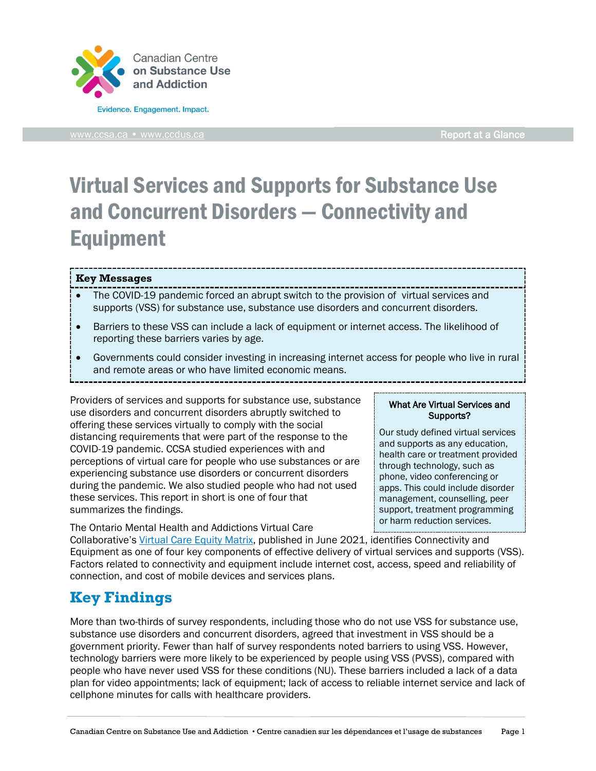

[www.ccsa.ca](http://www.ccsa.ca/) • www.ccdus.ca **Report at a Glance** 

# Virtual Services and Supports for Substance Use and Concurrent Disorders — Connectivity and Equipment

### **Key Messages**

- The COVID-19 pandemic forced an abrupt switch to the provision of virtual services and supports (VSS) for substance use, substance use disorders and concurrent disorders.
- Barriers to these VSS can include a lack of equipment or internet access. The likelihood of reporting these barriers varies by age.
- Governments could consider investing in increasing internet access for people who live in rural and remote areas or who have limited economic means.

Providers of services and supports for substance use, substance use disorders and concurrent disorders abruptly switched to offering these services virtually to comply with the social distancing requirements that were part of the response to the COVID-19 pandemic. CCSA studied experiences with and perceptions of virtual care for people who use substances or are experiencing substance use disorders or concurrent disorders during the pandemic. We also studied people who had not used these services. This report in short is one of four that summarizes the findings.

The Ontario Mental Health and Addictions Virtual Care

#### What Are Virtual Services and Supports?

Our study defined virtual services and supports as any education, health care or treatment provided through technology, such as phone, video conferencing or apps. This could include disorder management, counselling, peer support, treatment programming or harm reduction services.

Collaborative's [Virtual Care Equity Matrix,](https://kmb.camh.ca/eenet/resources/virtual-care-equity-matrix-no-one-left-behind) published in June 2021, identifies Connectivity and Equipment as one of four key components of effective delivery of virtual services and supports (VSS). Factors related to connectivity and equipment include internet cost, access, speed and reliability of connection, and cost of mobile devices and services plans.

# **Key Findings**

More than two-thirds of survey respondents, including those who do not use VSS for substance use, substance use disorders and concurrent disorders, agreed that investment in VSS should be a government priority. Fewer than half of survey respondents noted barriers to using VSS. However, technology barriers were more likely to be experienced by people using VSS (PVSS), compared with people who have never used VSS for these conditions (NU). These barriers included a lack of a data plan for video appointments; lack of equipment; lack of access to reliable internet service and lack of cellphone minutes for calls with healthcare providers.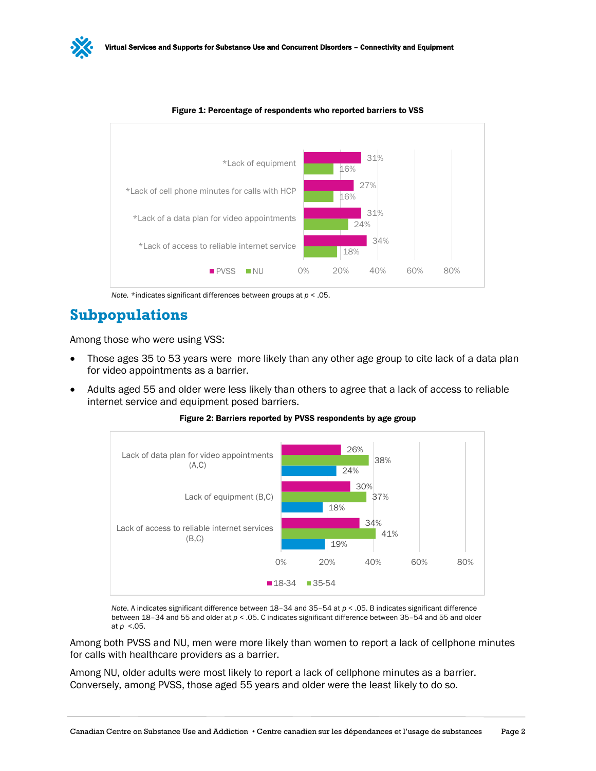



Figure 1: Percentage of respondents who reported barriers to VSS

# **Subpopulations**

Among those who were using VSS:

- Those ages 35 to 53 years were more likely than any other age group to cite lack of a data plan for video appointments as a barrier.
- Adults aged 55 and older were less likely than others to agree that a lack of access to reliable internet service and equipment posed barriers.

Figure 2: Barriers reported by PVSS respondents by age group



*Note*. A indicates significant difference between 18–34 and 35–54 at *p* < .05. B indicates significant difference between 18–34 and 55 and older at *p* < .05. C indicates significant difference between 35–54 and 55 and older at *p* <.05.

Among both PVSS and NU, men were more likely than women to report a lack of cellphone minutes for calls with healthcare providers as a barrier.

Among NU, older adults were most likely to report a lack of cellphone minutes as a barrier. Conversely, among PVSS, those aged 55 years and older were the least likely to do so.

*Note.* \*indicates significant differences between groups at *p* < .05.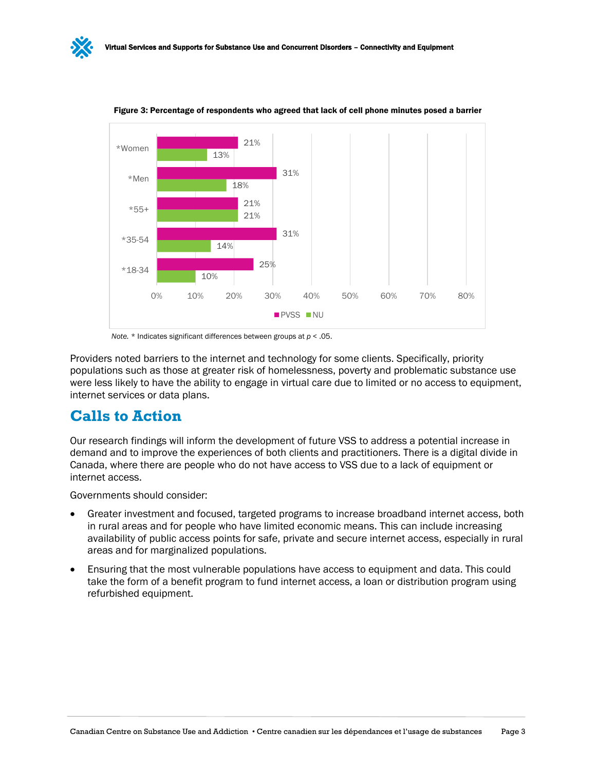

Figure 3: Percentage of respondents who agreed that lack of cell phone minutes posed a barrier

*Note.* \* Indicates significant differences between groups at *p* < .05.

Providers noted barriers to the internet and technology for some clients. Specifically, priority populations such as those at greater risk of homelessness, poverty and problematic substance use were less likely to have the ability to engage in virtual care due to limited or no access to equipment, internet services or data plans.

### **Calls to Action**

Our research findings will inform the development of future VSS to address a potential increase in demand and to improve the experiences of both clients and practitioners. There is a digital divide in Canada, where there are people who do not have access to VSS due to a lack of equipment or internet access.

Governments should consider:

- Greater investment and focused, targeted programs to increase broadband internet access, both in rural areas and for people who have limited economic means. This can include increasing availability of public access points for safe, private and secure internet access, especially in rural areas and for marginalized populations.
- Ensuring that the most vulnerable populations have access to equipment and data. This could take the form of a benefit program to fund internet access, a loan or distribution program using refurbished equipment.